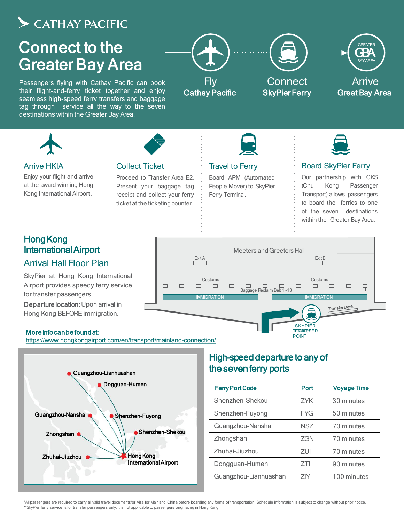# $\blacktriangleright$  CATHAY PACIFIC

# Connect to the Greater Bay Area

Passengers flying with Cathay Pacific can book their flight-and-ferry ticket together and enjoy seamless high-speed ferry transfers and baggage tag through service all the way to the seven destinations within the Greater Bay Area.





#### Arrive HKIA

Enjoy your flight and arrive at the award winning Hong Kong InternationalAirport.

# **Hong Kong** InternationalAirport

## Arrival Hall Floor Plan

SkyPier at Hong Kong International Airport provides speedy ferry service for transfer passengers.

Departure location: Upon arrival in Hong Kong BEFORE immigration.

Moreinfocanbefoundat:

<https://www.hongkongairport.com/en/transport/mainland-connection/>

Collect Ticket

Proceed to Transfer Area E2. Present your baggage tag receipt and collect your ferry ticket at the ticketing counter.



# High-speed departure to any of the sevenferry ports

| <b>Ferry Port Code</b> | Port       | <b>Voyage Time</b> |
|------------------------|------------|--------------------|
| Shenzhen-Shekou        | 7YK        | 30 minutes         |
| Shenzhen-Fuyong        | <b>FYG</b> | 50 minutes         |
| Guangzhou-Nansha       | NSZ.       | 70 minutes         |
| Zhongshan              | <b>ZGN</b> | 70 minutes         |
| Zhuhai-Jiuzhou         | ZUI        | 70 minutes         |
| Dongguan-Humen         | 7TI        | 90 minutes         |
| Guangzhou-Lianhuashan  |            | 100 minutes        |

T**FREARISYER** POINT

Meeters andGreeters Hall Exit A Exit B Customs Customs  $\Box$  $\Box$  $\Box$  $\Box$  $\Box$  $\Box$  $\Box$  $\Box$  $\Box$  $\Box$ Baggage Reclaim Belt 1 -13 -**IMMIGRATION IMMIGRATION Transfer Desk SKYPIER** 

Travel to Ferry

Ferry Terminal.

Board APM (Automated People Mover) to SkyPier

# Board SkyPier Ferry

Our partnership with CKS (Chu Kong Passenger Transport) allows passengers to board the ferries to one of the seven destinations within the Greater Bay Area.

#### \*Allpassengers are required to carry all valid travel documents/or visa for Mainland China before boarding any forms of transportation. Schedule information is subject to change without prior notice. \*\*SkyPier ferry service is for transfer passengers only. It is not applicable to passengers originating in Hong Kong.